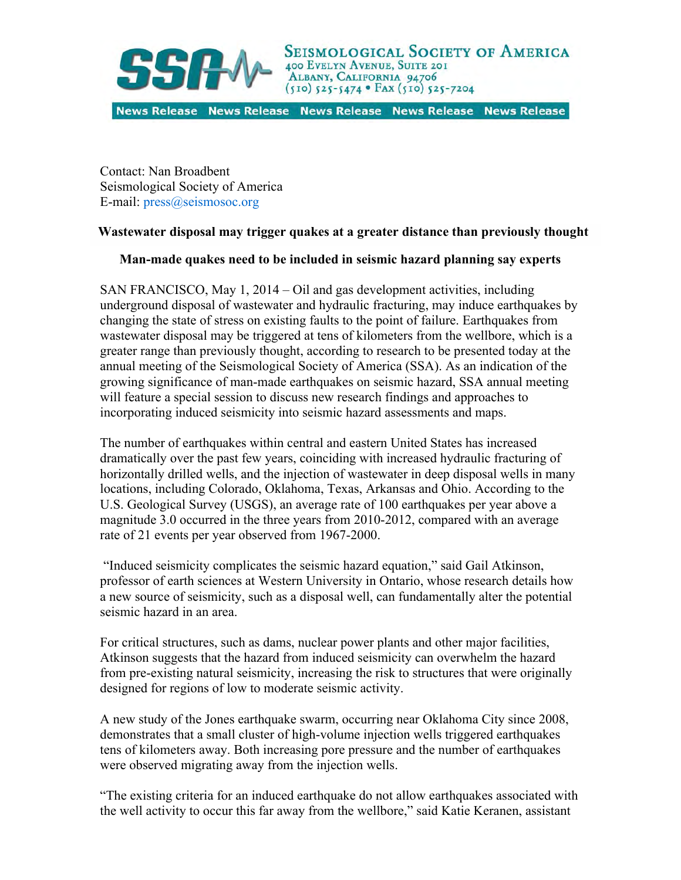

News Release News Release News Release News Release News Release

Contact: Nan Broadbent Seismological Society of America E-mail: press@seismosoc.org

## **Wastewater disposal may trigger quakes at a greater distance than previously thought**

## **Man-made quakes need to be included in seismic hazard planning say experts**

SAN FRANCISCO, May 1, 2014 – Oil and gas development activities, including underground disposal of wastewater and hydraulic fracturing, may induce earthquakes by changing the state of stress on existing faults to the point of failure. Earthquakes from wastewater disposal may be triggered at tens of kilometers from the wellbore, which is a greater range than previously thought, according to research to be presented today at the annual meeting of the Seismological Society of America (SSA). As an indication of the growing significance of man-made earthquakes on seismic hazard, SSA annual meeting will feature a special session to discuss new research findings and approaches to incorporating induced seismicity into seismic hazard assessments and maps.

The number of earthquakes within central and eastern United States has increased dramatically over the past few years, coinciding with increased hydraulic fracturing of horizontally drilled wells, and the injection of wastewater in deep disposal wells in many locations, including Colorado, Oklahoma, Texas, Arkansas and Ohio. According to the U.S. Geological Survey (USGS), an average rate of 100 earthquakes per year above a magnitude 3.0 occurred in the three years from 2010-2012, compared with an average rate of 21 events per year observed from 1967-2000.

 "Induced seismicity complicates the seismic hazard equation," said Gail Atkinson, professor of earth sciences at Western University in Ontario, whose research details how a new source of seismicity, such as a disposal well, can fundamentally alter the potential seismic hazard in an area.

For critical structures, such as dams, nuclear power plants and other major facilities, Atkinson suggests that the hazard from induced seismicity can overwhelm the hazard from pre-existing natural seismicity, increasing the risk to structures that were originally designed for regions of low to moderate seismic activity.

A new study of the Jones earthquake swarm, occurring near Oklahoma City since 2008, demonstrates that a small cluster of high-volume injection wells triggered earthquakes tens of kilometers away. Both increasing pore pressure and the number of earthquakes were observed migrating away from the injection wells.

"The existing criteria for an induced earthquake do not allow earthquakes associated with the well activity to occur this far away from the wellbore," said Katie Keranen, assistant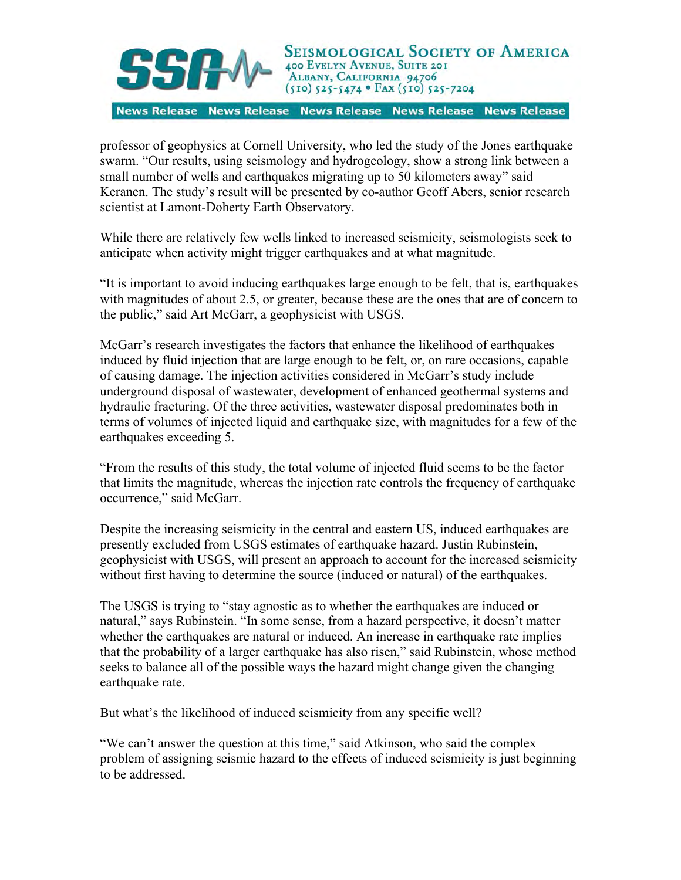

News Release News Release News Release News Release News Release

professor of geophysics at Cornell University, who led the study of the Jones earthquake swarm. "Our results, using seismology and hydrogeology, show a strong link between a small number of wells and earthquakes migrating up to 50 kilometers away" said Keranen. The study's result will be presented by co-author Geoff Abers, senior research scientist at Lamont-Doherty Earth Observatory.

While there are relatively few wells linked to increased seismicity, seismologists seek to anticipate when activity might trigger earthquakes and at what magnitude.

"It is important to avoid inducing earthquakes large enough to be felt, that is, earthquakes with magnitudes of about 2.5, or greater, because these are the ones that are of concern to the public," said Art McGarr, a geophysicist with USGS.

McGarr's research investigates the factors that enhance the likelihood of earthquakes induced by fluid injection that are large enough to be felt, or, on rare occasions, capable of causing damage. The injection activities considered in McGarr's study include underground disposal of wastewater, development of enhanced geothermal systems and hydraulic fracturing. Of the three activities, wastewater disposal predominates both in terms of volumes of injected liquid and earthquake size, with magnitudes for a few of the earthquakes exceeding 5.

"From the results of this study, the total volume of injected fluid seems to be the factor that limits the magnitude, whereas the injection rate controls the frequency of earthquake occurrence," said McGarr.

Despite the increasing seismicity in the central and eastern US, induced earthquakes are presently excluded from USGS estimates of earthquake hazard. Justin Rubinstein, geophysicist with USGS, will present an approach to account for the increased seismicity without first having to determine the source (induced or natural) of the earthquakes.

The USGS is trying to "stay agnostic as to whether the earthquakes are induced or natural," says Rubinstein. "In some sense, from a hazard perspective, it doesn't matter whether the earthquakes are natural or induced. An increase in earthquake rate implies that the probability of a larger earthquake has also risen," said Rubinstein, whose method seeks to balance all of the possible ways the hazard might change given the changing earthquake rate.

But what's the likelihood of induced seismicity from any specific well?

"We can't answer the question at this time," said Atkinson, who said the complex problem of assigning seismic hazard to the effects of induced seismicity is just beginning to be addressed.